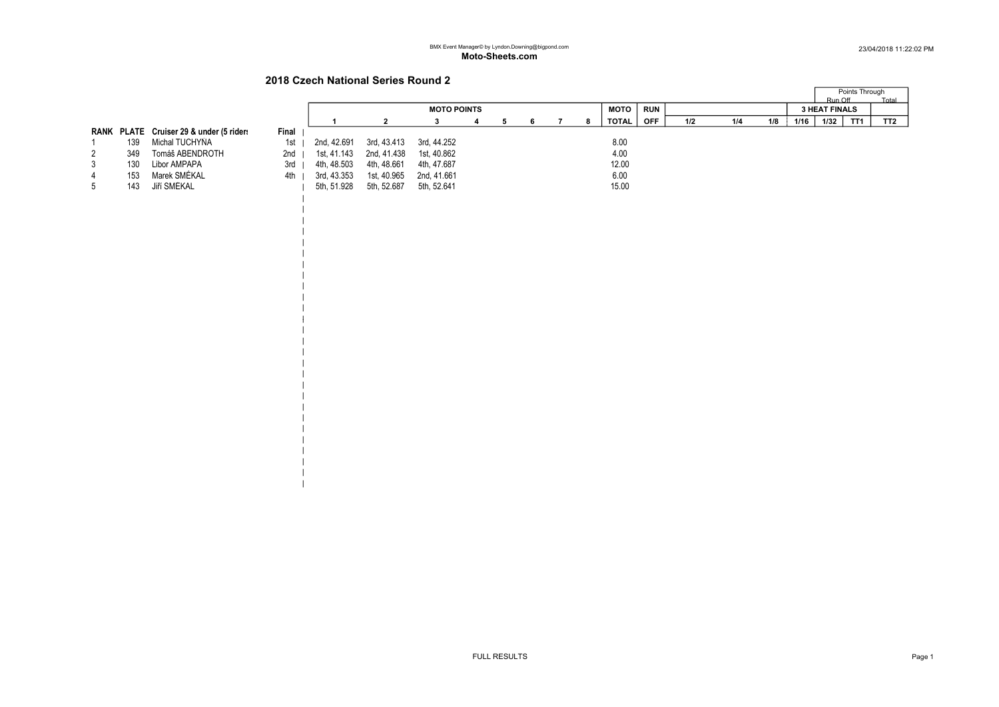$\overline{a}$ 

# 2018 Czech National Series Round 2

| | | | | | | | | | |

| | | | | | | | | | | | | |  $\blacksquare$ 

|   |     |                                         |       |             |             |                    |  |  |    |       |            |     |     |     | Points Through |                      |                 |                 |
|---|-----|-----------------------------------------|-------|-------------|-------------|--------------------|--|--|----|-------|------------|-----|-----|-----|----------------|----------------------|-----------------|-----------------|
|   |     |                                         |       |             |             |                    |  |  |    |       |            |     |     |     |                | Run Off              |                 | <b>Total</b>    |
|   |     |                                         |       |             |             | <b>MOTO POINTS</b> |  |  |    | мото  | <b>RUN</b> |     |     |     |                | <b>3 HEAT FINALS</b> |                 |                 |
|   |     |                                         |       |             |             |                    |  |  | -8 | TOTAL | <b>OFF</b> | 1/2 | 1/4 | 1/8 | 1/16           | 1/32                 | TT <sub>1</sub> | TT <sub>2</sub> |
|   |     | RANK PLATE Cruiser 29 & under (5 riders | Final |             |             |                    |  |  |    |       |            |     |     |     |                |                      |                 |                 |
|   | 139 | Michal TUCHYŇA                          | 1st   | 2nd, 42.691 | 3rd, 43.413 | 3rd, 44.252        |  |  |    | 8.00  |            |     |     |     |                |                      |                 |                 |
| 2 | 349 | Tomáš ABENDROTH                         | 2nd   | 1st, 41.143 | 2nd, 41.438 | 1st, 40.862        |  |  |    | 4.00  |            |     |     |     |                |                      |                 |                 |
| 3 | 130 | Libor AMPAPA                            | 3rd   | 4th, 48.503 | 4th, 48.661 | 4th. 47.687        |  |  |    | 12.00 |            |     |     |     |                |                      |                 |                 |
| 4 | 153 | Marek SMÉKAL                            | 4th   | 3rd, 43.353 | 1st, 40.965 | 2nd, 41.661        |  |  |    | 6.00  |            |     |     |     |                |                      |                 |                 |
| 5 | 143 | Jiří SMÉKAL                             |       | 5th, 51.928 | 5th, 52.687 | 5th. 52.641        |  |  |    | 15.00 |            |     |     |     |                |                      |                 |                 |
|   |     |                                         |       |             |             |                    |  |  |    |       |            |     |     |     |                |                      |                 |                 |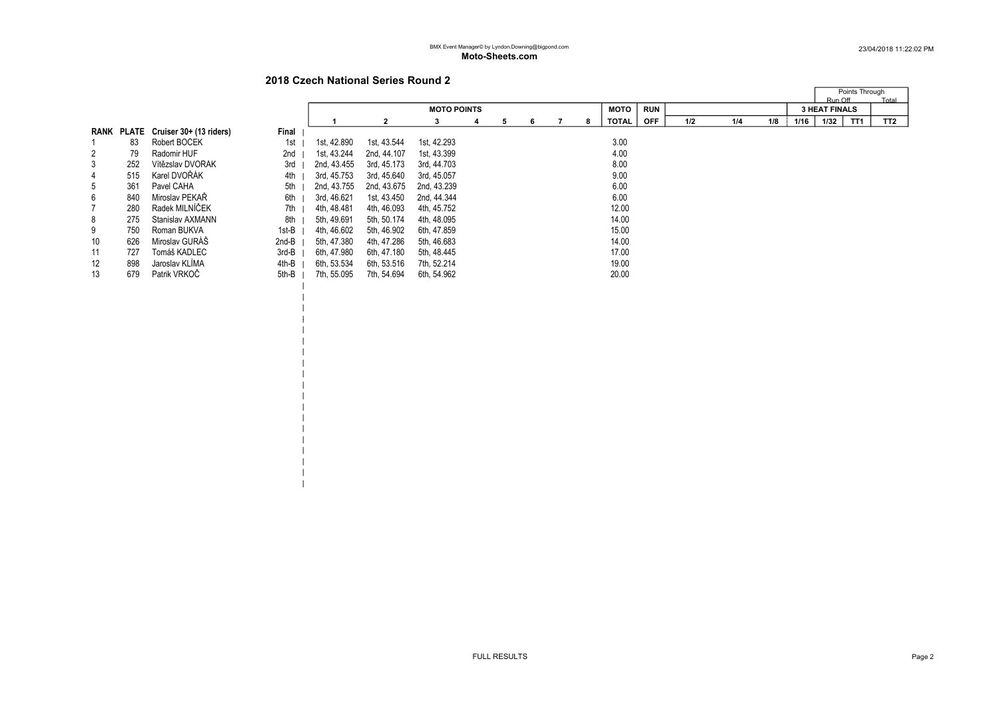| | |

| | | | | | | | | | | | | | |

|    |     |                                    |       |             |              |                    |   |    |   |    |             |            |     |     |     |      | Points Through       |                 |
|----|-----|------------------------------------|-------|-------------|--------------|--------------------|---|----|---|----|-------------|------------|-----|-----|-----|------|----------------------|-----------------|
|    |     |                                    |       |             |              |                    |   |    |   |    |             |            |     |     |     |      | Run Off              | Total           |
|    |     |                                    |       |             |              | <b>MOTO POINTS</b> |   |    |   |    | <b>MOTO</b> | <b>RUN</b> |     |     |     |      | <b>3 HEAT FINALS</b> |                 |
|    |     |                                    |       |             | $\mathbf{2}$ | з                  | 4 | 5. | 6 | -8 | TOTAL       | <b>OFF</b> | 1/2 | 1/4 | 1/8 | 1/16 | TT1<br>1/32          | TT <sub>2</sub> |
|    |     | RANK PLATE Cruiser 30+ (13 riders) | Final |             |              |                    |   |    |   |    |             |            |     |     |     |      |                      |                 |
|    | 83  | Robert BOCEK                       | 1st   | 1st, 42.890 | 1st, 43.544  | 1st, 42.293        |   |    |   |    | 3.00        |            |     |     |     |      |                      |                 |
| 2  | 79  | Radomir HUF                        | 2nd   | 1st, 43.244 | 2nd, 44.107  | 1st, 43.399        |   |    |   |    | 4.00        |            |     |     |     |      |                      |                 |
| 3  | 252 | Vítězslav DVOŘÁK                   | 3rd   | 2nd. 43.455 | 3rd, 45.173  | 3rd. 44.703        |   |    |   |    | 8.00        |            |     |     |     |      |                      |                 |
| 4  | 515 | Karel DVOŘÁK                       | 4th   | 3rd, 45.753 | 3rd, 45.640  | 3rd, 45.057        |   |    |   |    | 9.00        |            |     |     |     |      |                      |                 |
| 5  | 361 | Pavel CAHA                         | 5th   | 2nd, 43.755 | 2nd, 43.675  | 2nd, 43.239        |   |    |   |    | 6.00        |            |     |     |     |      |                      |                 |
| 6  | 840 | Miroslav PEKAR                     | 6th   | 3rd, 46.621 | 1st, 43.450  | 2nd, 44.344        |   |    |   |    | 6.00        |            |     |     |     |      |                      |                 |
|    | 280 | Radek MILNÍČEK                     | 7th   | 4th. 48.481 | 4th, 46.093  | 4th, 45.752        |   |    |   |    | 12.00       |            |     |     |     |      |                      |                 |
| 8  | 275 | Stanislav AXMANN                   | 8th   | 5th, 49.691 | 5th, 50.174  | 4th, 48.095        |   |    |   |    | 14.00       |            |     |     |     |      |                      |                 |
| 9  | 750 | Roman BUKVA                        | 1st-B | 4th, 46.602 | 5th, 46.902  | 6th, 47.859        |   |    |   |    | 15.00       |            |     |     |     |      |                      |                 |
| 10 | 626 | Miroslav GURAS                     | 2nd-B | 5th. 47.380 | 4th, 47.286  | 5th, 46.683        |   |    |   |    | 14.00       |            |     |     |     |      |                      |                 |
| 11 | 727 | Tomáš KADLEC                       | 3rd-B | 6th, 47.980 | 6th, 47.180  | 5th, 48.445        |   |    |   |    | 17.00       |            |     |     |     |      |                      |                 |
| 12 | 898 | Jaroslav KLIMA                     | 4th-B | 6th, 53.534 | 6th, 53.516  | 7th, 52.214        |   |    |   |    | 19.00       |            |     |     |     |      |                      |                 |
| 13 | 679 | Patrik VRKOČ                       | 5th-B | 7th, 55.095 | 7th, 54.694  | 6th, 54.962        |   |    |   |    | 20.00       |            |     |     |     |      |                      |                 |
|    |     |                                    |       |             |              |                    |   |    |   |    |             |            |     |     |     |      |                      |                 |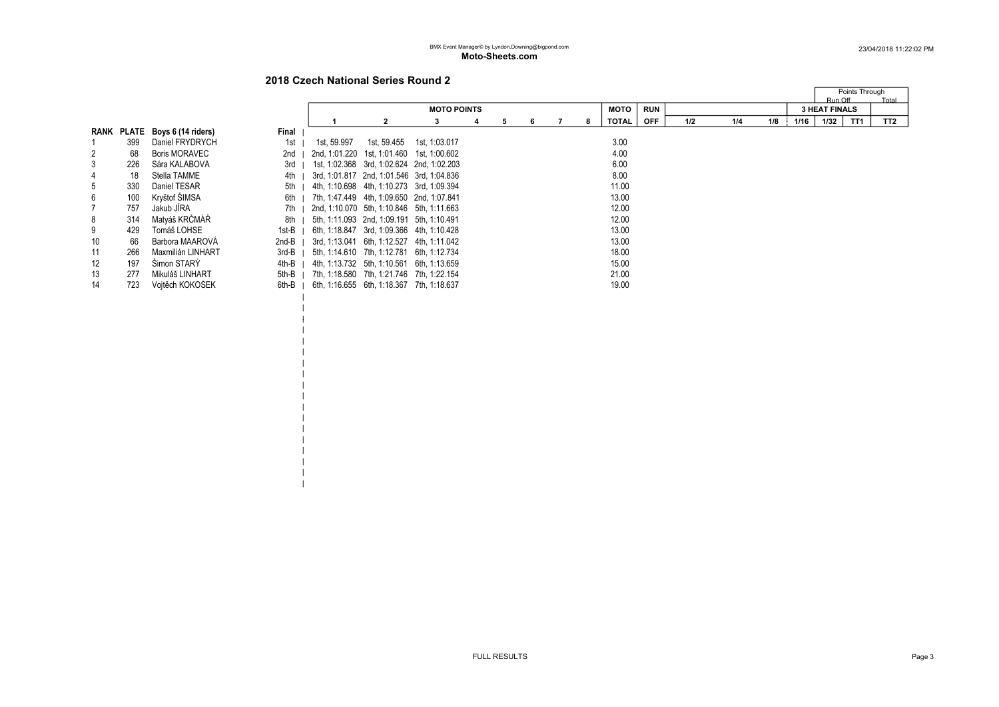# 2018 Czech National Series Round 2

 $\blacksquare$ |

 $\blacksquare$ | | | | | | | | | | | | | |

|                |     |                               |       |                                           |                                           |                    |  |  |    |  |   |             |            |         | Points Through |     |      |                      |                 |
|----------------|-----|-------------------------------|-------|-------------------------------------------|-------------------------------------------|--------------------|--|--|----|--|---|-------------|------------|---------|----------------|-----|------|----------------------|-----------------|
|                |     |                               |       |                                           |                                           |                    |  |  |    |  |   |             |            | Run Off | Total          |     |      |                      |                 |
|                |     |                               |       |                                           |                                           | <b>MOTO POINTS</b> |  |  |    |  |   | <b>MOTO</b> | <b>RUN</b> |         |                |     |      | <b>3 HEAT FINALS</b> |                 |
|                |     |                               |       |                                           |                                           |                    |  |  | 6. |  | 8 | TOTAL       | <b>OFF</b> | 1/2     | 1/4            | 1/8 | 1/16 | TT1<br>1/32          | TT <sub>2</sub> |
|                |     | RANK PLATE Boys 6 (14 riders) | Final |                                           |                                           |                    |  |  |    |  |   |             |            |         |                |     |      |                      |                 |
|                | 399 | Daniel FRYDRYCH               | 1st   | 1st, 59.997                               | 1st, 59.455                               | 1st, 1:03.017      |  |  |    |  |   | 3.00        |            |         |                |     |      |                      |                 |
| $\overline{2}$ | 68  | <b>Boris MORAVEC</b>          | 2nd   | 2nd, 1:01.220 1st, 1:01.460 1st, 1:00.602 |                                           |                    |  |  |    |  |   | 4.00        |            |         |                |     |      |                      |                 |
| 3              | 226 | Sára KALÁBOVÁ                 | 3rd   |                                           | 1st, 1:02.368 3rd, 1:02.624 2nd, 1:02.203 |                    |  |  |    |  |   | 6.00        |            |         |                |     |      |                      |                 |
| 4              | 18  | Stella TAMME                  | 4th   | 3rd, 1:01.817 2nd, 1:01.546 3rd, 1:04.836 |                                           |                    |  |  |    |  |   | 8.00        |            |         |                |     |      |                      |                 |
| 5              | 330 | Daniel TESAR                  | 5th   | 4th, 1:10.698 4th, 1:10.273 3rd, 1:09.394 |                                           |                    |  |  |    |  |   | 11.00       |            |         |                |     |      |                      |                 |
| 6              | 100 | Kryštof ŠIMSA                 | 6th I | 7th, 1:47.449 4th, 1:09.650 2nd, 1:07.841 |                                           |                    |  |  |    |  |   | 13.00       |            |         |                |     |      |                      |                 |
| $\overline{7}$ | 757 | Jakub JÍRA                    | $7th$ | 2nd, 1:10.070 5th, 1:10.846 5th, 1:11.663 |                                           |                    |  |  |    |  |   | 12.00       |            |         |                |     |      |                      |                 |
| 8              | 314 | Matyáš KRČMÁŘ                 | 8th I | 5th, 1:11.093 2nd, 1:09.191 5th, 1:10.491 |                                           |                    |  |  |    |  |   | 12.00       |            |         |                |     |      |                      |                 |
| 9              | 429 | Tomáš LOHSE                   | 1st-B | 6th, 1:18.847 3rd, 1:09.366 4th, 1:10.428 |                                           |                    |  |  |    |  |   | 13.00       |            |         |                |     |      |                      |                 |
| 10             | 66  | Barbora MAAROVÁ               | 2nd-B | 3rd. 1:13.041 6th. 1:12.527 4th. 1:11.042 |                                           |                    |  |  |    |  |   | 13.00       |            |         |                |     |      |                      |                 |
| 11             | 266 | Maxmilián LINHART             | 3rd-B |                                           | 5th, 1:14.610 7th, 1:12.781 6th, 1:12.734 |                    |  |  |    |  |   | 18.00       |            |         |                |     |      |                      |                 |
| 12             | 197 | Šimon STARÝ                   | 4th-B |                                           | 4th, 1:13.732 5th, 1:10.561 6th, 1:13.659 |                    |  |  |    |  |   | 15.00       |            |         |                |     |      |                      |                 |
| 13             | 277 | Mikuláš LINHART               | 5th-B | 7th, 1:18.580 7th, 1:21.746 7th, 1:22.154 |                                           |                    |  |  |    |  |   | 21.00       |            |         |                |     |      |                      |                 |
| 14             | 723 | Vojtěch KOKOŠEK               | 6th-B |                                           | 6th, 1:16.655 6th, 1:18.367 7th, 1:18.637 |                    |  |  |    |  |   | 19.00       |            |         |                |     |      |                      |                 |
|                |     |                               |       |                                           |                                           |                    |  |  |    |  |   |             |            |         |                |     |      |                      |                 |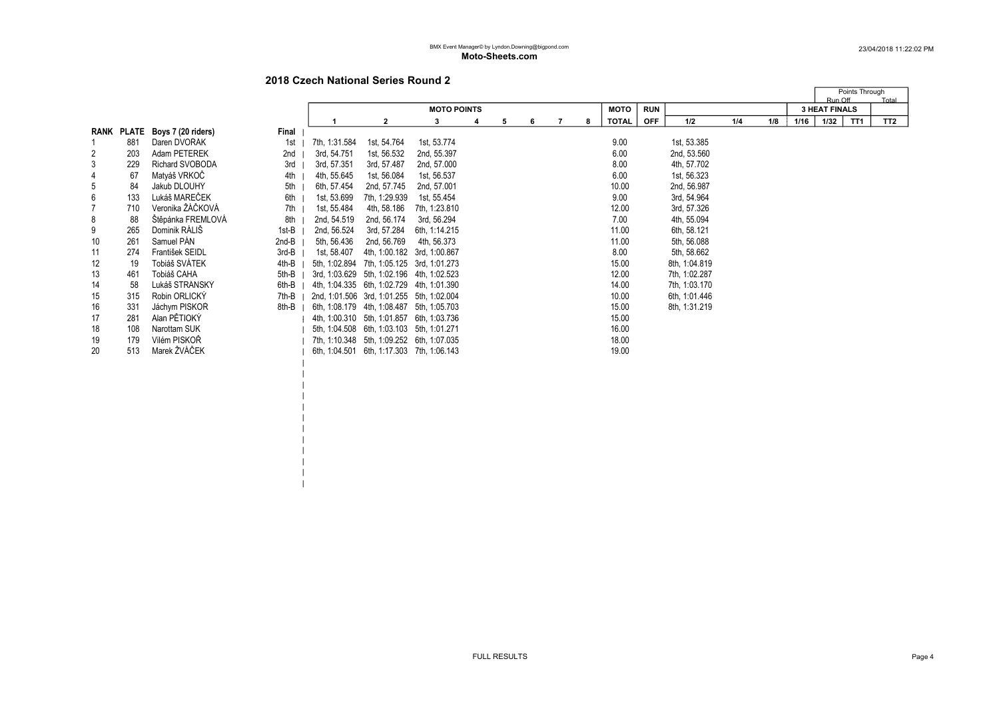# 2018 Czech National Series Round 2

 $\blacksquare$  $\|$ | | |  $\|$ 

|                |            |                    |       |                                           |                                           |                    |   |   |   |   |   |              |            |               |     |     |      | Run Off              | Points Through | Total           |
|----------------|------------|--------------------|-------|-------------------------------------------|-------------------------------------------|--------------------|---|---|---|---|---|--------------|------------|---------------|-----|-----|------|----------------------|----------------|-----------------|
|                |            |                    |       |                                           |                                           | <b>MOTO POINTS</b> |   |   |   |   |   | <b>MOTO</b>  | <b>RUN</b> |               |     |     |      | <b>3 HEAT FINALS</b> |                |                 |
|                |            |                    |       |                                           | 2                                         | 3                  | 4 | 5 | 6 | 7 | 8 | <b>TOTAL</b> | <b>OFF</b> | 1/2           | 1/4 | 1/8 | 1/16 | 1/32                 | TT1            | TT <sub>2</sub> |
|                | RANK PLATE | Boys 7 (20 riders) | Final |                                           |                                           |                    |   |   |   |   |   |              |            |               |     |     |      |                      |                |                 |
|                | 881        | Daren DVOŘÁK       | 1st   | 7th, 1:31.584                             | 1st, 54.764                               | 1st, 53.774        |   |   |   |   |   | 9.00         |            | 1st, 53.385   |     |     |      |                      |                |                 |
| $\overline{2}$ | 203        | Adam PETEREK       | 2nd   | 3rd, 54.751                               | 1st, 56.532                               | 2nd, 55.397        |   |   |   |   |   | 6.00         |            | 2nd, 53.560   |     |     |      |                      |                |                 |
| 3              | 229        | Richard SVOBODA    | 3rd   | 3rd, 57.351                               | 3rd, 57.487                               | 2nd, 57.000        |   |   |   |   |   | 8.00         |            | 4th, 57.702   |     |     |      |                      |                |                 |
| 4              | 67         | Matyáš VRKOČ       | 4th   | 4th, 55.645                               | 1st, 56.084                               | 1st, 56.537        |   |   |   |   |   | 6.00         |            | 1st, 56.323   |     |     |      |                      |                |                 |
| 5              | 84         | Jakub DLOUHY       | 5th   | 6th, 57.454                               | 2nd, 57.745                               | 2nd, 57.001        |   |   |   |   |   | 10.00        |            | 2nd, 56.987   |     |     |      |                      |                |                 |
| 6              | 133        | Lukáš MAREČEK      | 6th   | 1st, 53.699                               | 7th, 1:29.939                             | 1st, 55.454        |   |   |   |   |   | 9.00         |            | 3rd, 54.964   |     |     |      |                      |                |                 |
|                | 710        | Veronika ŽÁČKOVÁ   | 7th   | 1st, 55.484                               | 4th, 58.186                               | 7th. 1:23.810      |   |   |   |   |   | 12.00        |            | 3rd, 57.326   |     |     |      |                      |                |                 |
| 8              | 88         | Štěpánka FREMLOVÁ  | 8th   | 2nd, 54.519                               | 2nd, 56.174                               | 3rd, 56.294        |   |   |   |   |   | 7.00         |            | 4th, 55.094   |     |     |      |                      |                |                 |
| 9              | 265        | Dominik RÁLIŠ      | 1st-B | 2nd, 56.524                               | 3rd, 57.284                               | 6th, 1:14.215      |   |   |   |   |   | 11.00        |            | 6th, 58.121   |     |     |      |                      |                |                 |
| 10             | 261        | Samuel PÁN         | 2nd-B | 5th, 56.436                               | 2nd, 56.769                               | 4th, 56.373        |   |   |   |   |   | 11.00        |            | 5th, 56.088   |     |     |      |                      |                |                 |
| 11             | 274        | František SEIDL    | 3rd-B | 1st, 58.407                               | 4th, 1:00.182 3rd, 1:00.867               |                    |   |   |   |   |   | 8.00         |            | 5th, 58.662   |     |     |      |                      |                |                 |
| 12             | 19         | Tobiáš SVÁTEK      | 4th-B | 5th, 1:02.894                             | 7th, 1:05.125 3rd, 1:01.273               |                    |   |   |   |   |   | 15.00        |            | 8th, 1:04.819 |     |     |      |                      |                |                 |
| 13             | 461        | Tobiáš CAHA        | 5th-B |                                           | 3rd, 1:03.629 5th, 1:02.196 4th, 1:02.523 |                    |   |   |   |   |   | 12.00        |            | 7th, 1:02.287 |     |     |      |                      |                |                 |
| 14             | 58         | Lukáš STRÁNSKÝ     | 6th-B | 4th, 1:04.335 6th, 1:02.729 4th, 1:01.390 |                                           |                    |   |   |   |   |   | 14.00        |            | 7th, 1:03.170 |     |     |      |                      |                |                 |
| 15             | 315        | Robin ORLICKÝ      | 7th-B | 2nd, 1:01.506 3rd, 1:01.255 5th, 1:02.004 |                                           |                    |   |   |   |   |   | 10.00        |            | 6th. 1:01.446 |     |     |      |                      |                |                 |
| 16             | 331        | Jáchym PISKOR      | 8th-B |                                           | 6th, 1:08.179 4th, 1:08.487 5th, 1:05.703 |                    |   |   |   |   |   | 15.00        |            | 8th, 1:31.219 |     |     |      |                      |                |                 |
| 17             | 281        | Alan PĚTIOKÝ       |       |                                           | 4th, 1:00.310 5th, 1:01.857 6th, 1:03.736 |                    |   |   |   |   |   | 15.00        |            |               |     |     |      |                      |                |                 |
| 18             | 108        | Narottam SUK       |       |                                           | 5th, 1:04.508 6th, 1:03.103 5th, 1:01.271 |                    |   |   |   |   |   | 16.00        |            |               |     |     |      |                      |                |                 |
| 19             | 179        | Vilém PISKOŘ       |       |                                           | 7th, 1:10.348 5th, 1:09.252 6th, 1:07.035 |                    |   |   |   |   |   | 18.00        |            |               |     |     |      |                      |                |                 |
| 20             | 513        | Marek ŽVÁČEK       |       |                                           | 6th. 1:04.501 6th. 1:17.303 7th. 1:06.143 |                    |   |   |   |   |   | 19.00        |            |               |     |     |      |                      |                |                 |
|                |            |                    |       |                                           |                                           |                    |   |   |   |   |   |              |            |               |     |     |      |                      |                |                 |
|                |            |                    |       |                                           |                                           |                    |   |   |   |   |   |              |            |               |     |     |      |                      |                |                 |
|                |            |                    |       |                                           |                                           |                    |   |   |   |   |   |              |            |               |     |     |      |                      |                |                 |
|                |            |                    |       |                                           |                                           |                    |   |   |   |   |   |              |            |               |     |     |      |                      |                |                 |
|                |            |                    |       |                                           |                                           |                    |   |   |   |   |   |              |            |               |     |     |      |                      |                |                 |
|                |            |                    |       |                                           |                                           |                    |   |   |   |   |   |              |            |               |     |     |      |                      |                |                 |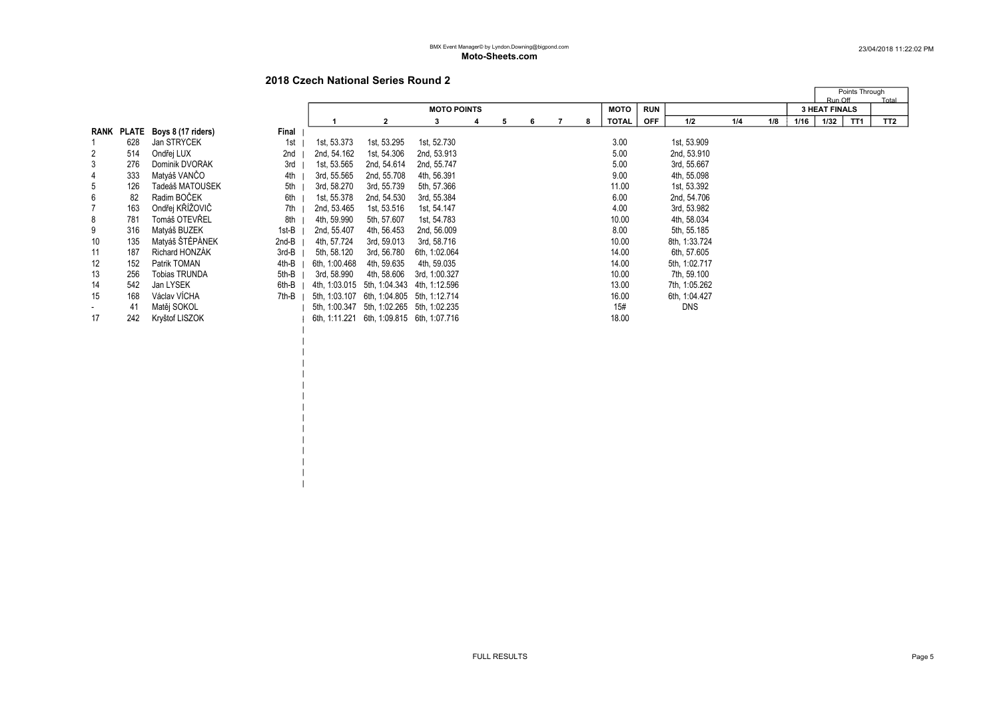# 2018 Czech National Series Round 2

 $\blacksquare$ | | | | | | | | | | | | |

|                |     |                               |       |               |                                           |                    |   |   |   |              |            |               |     |     |      | Points Through<br>Run Off | Total           |  |
|----------------|-----|-------------------------------|-------|---------------|-------------------------------------------|--------------------|---|---|---|--------------|------------|---------------|-----|-----|------|---------------------------|-----------------|--|
|                |     |                               |       |               |                                           | <b>MOTO POINTS</b> |   |   |   | <b>MOTO</b>  | <b>RUN</b> |               |     |     |      | <b>3 HEAT FINALS</b>      |                 |  |
|                |     |                               |       |               | $\mathbf{2}$                              |                    | 5 | 6 | 8 | <b>TOTAL</b> | <b>OFF</b> | 1/2           | 1/4 | 1/8 | 1/16 | TT <sub>1</sub><br>1/32   | TT <sub>2</sub> |  |
|                |     | RANK PLATE Boys 8 (17 riders) | Final |               |                                           |                    |   |   |   |              |            |               |     |     |      |                           |                 |  |
|                | 628 | Jan STRÝČEK                   | 1st   | 1st, 53.373   | 1st, 53.295                               | 1st, 52.730        |   |   |   | 3.00         |            | 1st, 53.909   |     |     |      |                           |                 |  |
| $\overline{2}$ | 514 | Ondřej LUX                    | 2nd   | 2nd, 54.162   | 1st, 54.306                               | 2nd, 53.913        |   |   |   | 5.00         |            | 2nd, 53.910   |     |     |      |                           |                 |  |
| 3              | 276 | Dominik DVOŘÁK                | 3rd   | 1st, 53.565   | 2nd, 54.614                               | 2nd, 55.747        |   |   |   | 5.00         |            | 3rd, 55.667   |     |     |      |                           |                 |  |
| 4              | 333 | Matyáš VANČO                  | 4th   | 3rd, 55.565   | 2nd, 55.708                               | 4th, 56.391        |   |   |   | 9.00         |            | 4th, 55.098   |     |     |      |                           |                 |  |
| 5              | 126 | Tadeáš MATOUŠEK               | 5th   | 3rd, 58.270   | 3rd, 55.739                               | 5th, 57.366        |   |   |   | 11.00        |            | 1st, 53.392   |     |     |      |                           |                 |  |
| 6              | 82  | Radim BOČEK                   | 6th   | 1st, 55.378   | 2nd, 54.530                               | 3rd, 55.384        |   |   |   | 6.00         |            | 2nd, 54.706   |     |     |      |                           |                 |  |
|                | 163 | Ondřej KŘÍŽOVIČ               | 7th   | 2nd. 53.465   | 1st, 53.516                               | 1st. 54.147        |   |   |   | 4.00         |            | 3rd, 53.982   |     |     |      |                           |                 |  |
| 8              | 781 | Tomáš OTEVŘEL                 | 8th   | 4th, 59.990   | 5th, 57.607                               | 1st, 54.783        |   |   |   | 10.00        |            | 4th, 58.034   |     |     |      |                           |                 |  |
| 9              | 316 | Matyáš BUZEK                  | 1st-B | 2nd, 55.407   | 4th, 56.453                               | 2nd, 56.009        |   |   |   | 8.00         |            | 5th, 55.185   |     |     |      |                           |                 |  |
| 10             | 135 | Matyáš ŠTĚPÁNEK               | 2nd-B | 4th, 57.724   | 3rd, 59.013                               | 3rd, 58.716        |   |   |   | 10.00        |            | 8th, 1:33.724 |     |     |      |                           |                 |  |
| 11             | 187 | <b>Richard HONZAK</b>         | 3rd-B | 5th, 58.120   | 3rd, 56.780                               | 6th, 1:02.064      |   |   |   | 14.00        |            | 6th, 57.605   |     |     |      |                           |                 |  |
| 12             | 152 | Patrik TOMAN                  | 4th-B | 6th, 1:00.468 | 4th, 59.635                               | 4th, 59.035        |   |   |   | 14.00        |            | 5th, 1:02.717 |     |     |      |                           |                 |  |
| 13             | 256 | <b>Tobias TRUNDA</b>          | 5th-B | 3rd, 58.990   | 4th, 58.606                               | 3rd. 1:00.327      |   |   |   | 10.00        |            | 7th, 59.100   |     |     |      |                           |                 |  |
| 14             | 542 | Jan LYSEK                     | 6th-B | 4th. 1:03.015 | 5th, 1:04.343 4th, 1:12.596               |                    |   |   |   | 13.00        |            | 7th, 1:05.262 |     |     |      |                           |                 |  |
| 15             | 168 | Václav VÍCHA                  | 7th-B | 5th, 1:03.107 | 6th, 1:04.805 5th, 1:12.714               |                    |   |   |   | 16.00        |            | 6th, 1:04.427 |     |     |      |                           |                 |  |
| $\sim$         | 41  | Matěj SOKOL                   |       |               | 5th, 1:00.347 5th, 1:02.265 5th, 1:02.235 |                    |   |   |   | 15#          |            | <b>DNS</b>    |     |     |      |                           |                 |  |
| 17             | 242 | Kryštof LISZOK                |       | 6th, 1:11.221 | 6th, 1:09.815 6th, 1:07.716               |                    |   |   |   | 18.00        |            |               |     |     |      |                           |                 |  |
|                |     |                               |       |               |                                           |                    |   |   |   |              |            |               |     |     |      |                           |                 |  |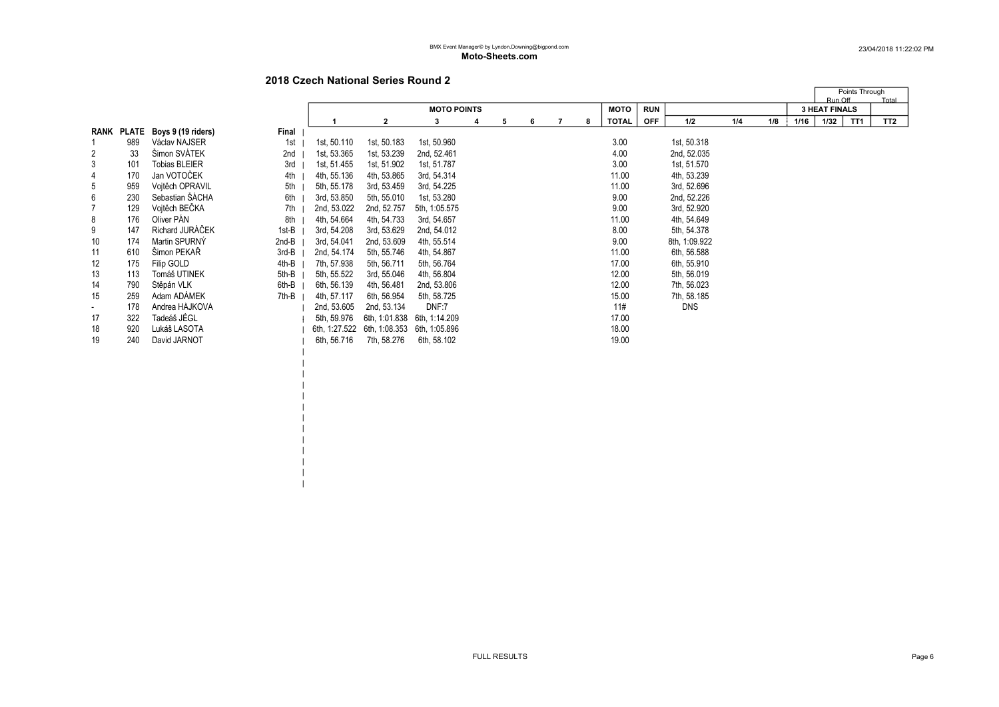# 2018 Czech National Series Round 2

 $\blacksquare$  $\blacksquare$  $\blacksquare$  $\blacksquare$ | | |  $\blacksquare$  $\blacksquare$ |  $\blacksquare$ 

|                          |              |                      |       |               |                             |                    |   |   |   |   |   |              |            |               |     |     |      | Points Through       |                 |
|--------------------------|--------------|----------------------|-------|---------------|-----------------------------|--------------------|---|---|---|---|---|--------------|------------|---------------|-----|-----|------|----------------------|-----------------|
|                          |              |                      |       |               |                             |                    |   |   |   |   |   |              |            |               |     |     |      | Run Off              | Total           |
|                          |              |                      |       |               |                             | <b>MOTO POINTS</b> |   |   |   |   |   | <b>MOTO</b>  | <b>RUN</b> |               |     |     |      | <b>3 HEAT FINALS</b> |                 |
|                          |              |                      |       |               | 2                           | 3                  | 4 | 5 | 6 | 7 | 8 | <b>TOTAL</b> | <b>OFF</b> | 1/2           | 1/4 | 1/8 | 1/16 | 1/32<br>TT1          | TT <sub>2</sub> |
| RANK                     | <b>PLATE</b> | Boys 9 (19 riders)   | Final |               |                             |                    |   |   |   |   |   |              |            |               |     |     |      |                      |                 |
|                          | 989          | Václav NAJSER        | 1st   | 1st, 50.110   | 1st, 50.183                 | 1st, 50.960        |   |   |   |   |   | 3.00         |            | 1st, 50.318   |     |     |      |                      |                 |
| 2                        | 33           | Šimon SVÁTEK         | 2nd   | 1st, 53.365   | 1st, 53.239                 | 2nd, 52.461        |   |   |   |   |   | 4.00         |            | 2nd, 52.035   |     |     |      |                      |                 |
| 3                        | 101          | <b>Tobias BLEIER</b> | 3rd   | 1st, 51.455   | 1st, 51.902                 | 1st, 51.787        |   |   |   |   |   | 3.00         |            | 1st, 51.570   |     |     |      |                      |                 |
| 4                        | 170          | Jan VOTOČEK          | 4th   | 4th, 55.136   | 4th, 53.865                 | 3rd, 54.314        |   |   |   |   |   | 11.00        |            | 4th, 53.239   |     |     |      |                      |                 |
| 5                        | 959          | Voitěch OPRAVIL      | 5th   | 5th, 55.178   | 3rd, 53.459                 | 3rd, 54.225        |   |   |   |   |   | 11.00        |            | 3rd, 52.696   |     |     |      |                      |                 |
| 6                        | 230          | Sebastian ŠÁCHA      | 6th   | 3rd, 53.850   | 5th, 55.010                 | 1st, 53.280        |   |   |   |   |   | 9.00         |            | 2nd, 52.226   |     |     |      |                      |                 |
| $\overline{7}$           | 129          | Vojtěch BEČKA        | 7th   | 2nd, 53.022   | 2nd, 52.757                 | 5th, 1:05.575      |   |   |   |   |   | 9.00         |            | 3rd, 52.920   |     |     |      |                      |                 |
| 8                        | 176          | Oliver PÁN           | 8th   | 4th, 54.664   | 4th, 54.733                 | 3rd, 54.657        |   |   |   |   |   | 11.00        |            | 4th, 54.649   |     |     |      |                      |                 |
| 9                        | 147          | Richard JURÁČEK      | 1st-B | 3rd, 54.208   | 3rd, 53.629                 | 2nd, 54.012        |   |   |   |   |   | 8.00         |            | 5th, 54.378   |     |     |      |                      |                 |
| 10                       | 174          | Martin SPURNÝ        | 2nd-B | 3rd, 54.041   | 2nd, 53.609                 | 4th, 55.514        |   |   |   |   |   | 9.00         |            | 8th, 1:09.922 |     |     |      |                      |                 |
| 11                       | 610          | Šimon PEKAŘ          | 3rd-B | 2nd, 54.174   | 5th, 55.746                 | 4th, 54.867        |   |   |   |   |   | 11.00        |            | 6th, 56.588   |     |     |      |                      |                 |
| 12                       | 175          | Filip GOLD           | 4th-B | 7th, 57.938   | 5th, 56.711                 | 5th, 56.764        |   |   |   |   |   | 17.00        |            | 6th, 55.910   |     |     |      |                      |                 |
| 13                       | 113          | Tomáš UTINEK         | 5th-B | 5th, 55.522   | 3rd, 55.046                 | 4th, 56.804        |   |   |   |   |   | 12.00        |            | 5th, 56.019   |     |     |      |                      |                 |
| 14                       | 790          | Štěpán VLK           | 6th-B | 6th, 56.139   | 4th, 56.481                 | 2nd, 53.806        |   |   |   |   |   | 12.00        |            | 7th, 56.023   |     |     |      |                      |                 |
| 15                       | 259          | Adam ADAMEK          | 7th-B | 4th, 57.117   | 6th, 56.954                 | 5th, 58.725        |   |   |   |   |   | 15.00        |            | 7th, 58.185   |     |     |      |                      |                 |
| $\overline{\phantom{a}}$ | 178          | Andrea HÁJKOVÁ       |       | 2nd, 53.605   | 2nd, 53.134                 | DNF:7              |   |   |   |   |   | 11#          |            | <b>DNS</b>    |     |     |      |                      |                 |
| 17                       | 322          | Tadeáš JÉGL          |       | 5th, 59.976   | 6th, 1:01.838               | 6th, 1:14.209      |   |   |   |   |   | 17.00        |            |               |     |     |      |                      |                 |
| 18                       | 920          | Lukáš LASOTA         |       | 6th, 1:27.522 | 6th, 1:08.353 6th, 1:05.896 |                    |   |   |   |   |   | 18.00        |            |               |     |     |      |                      |                 |
| 19                       | 240          | David JARNOT         |       | 6th, 56.716   | 7th, 58.276                 | 6th, 58.102        |   |   |   |   |   | 19.00        |            |               |     |     |      |                      |                 |
|                          |              |                      |       |               |                             |                    |   |   |   |   |   |              |            |               |     |     |      |                      |                 |
|                          |              |                      |       |               |                             |                    |   |   |   |   |   |              |            |               |     |     |      |                      |                 |
|                          |              |                      |       |               |                             |                    |   |   |   |   |   |              |            |               |     |     |      |                      |                 |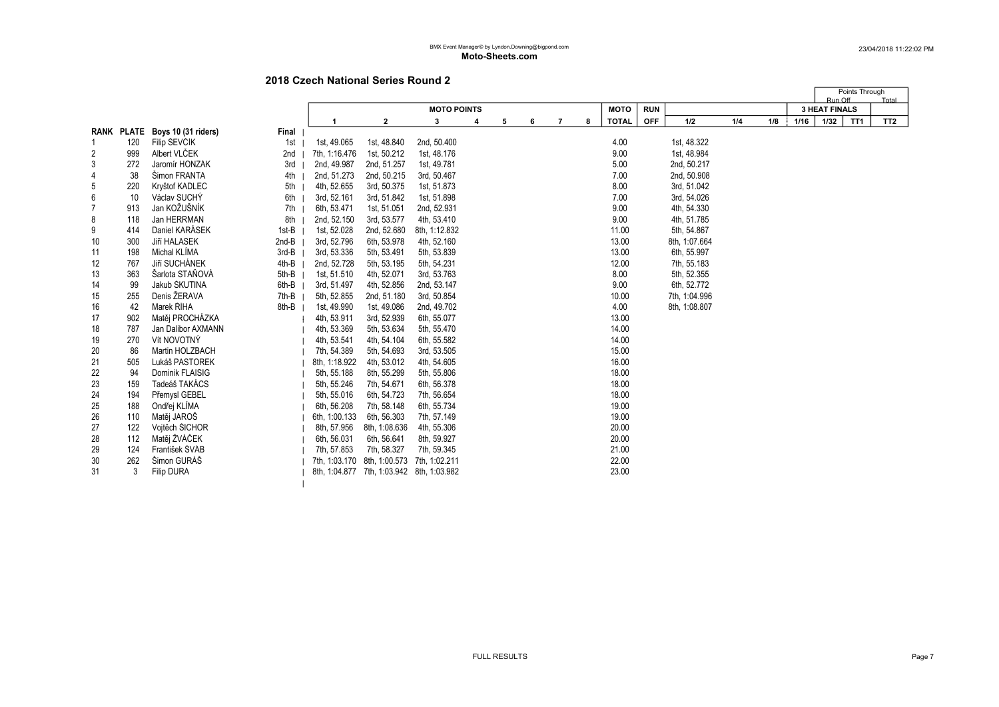|                |     |                                |       |               |                                           |                    |   |   |   |   |   |              |            |               |     |     |      | Run Off              | Points Through  | Total           |
|----------------|-----|--------------------------------|-------|---------------|-------------------------------------------|--------------------|---|---|---|---|---|--------------|------------|---------------|-----|-----|------|----------------------|-----------------|-----------------|
|                |     |                                |       |               |                                           | <b>MOTO POINTS</b> |   |   |   |   |   | <b>MOTO</b>  | <b>RUN</b> |               |     |     |      | <b>3 HEAT FINALS</b> |                 |                 |
|                |     |                                |       | 1             | $\mathbf{2}$                              | 3                  | 4 | 5 | 6 | 7 | 8 | <b>TOTAL</b> | <b>OFF</b> | 1/2           | 1/4 | 1/8 | 1/16 | 1/32                 | TT <sub>1</sub> | TT <sub>2</sub> |
|                |     | RANK PLATE Boys 10 (31 riders) | Final |               |                                           |                    |   |   |   |   |   |              |            |               |     |     |      |                      |                 |                 |
| 1              | 120 | Filip ŠEVČÍK                   | 1st   | 1st, 49.065   | 1st, 48.840                               | 2nd, 50.400        |   |   |   |   |   | 4.00         |            | 1st, 48.322   |     |     |      |                      |                 |                 |
| 2              | 999 | Albert VLČEK                   | 2nd   | 7th, 1:16.476 | 1st, 50.212                               | 1st, 48.176        |   |   |   |   |   | 9.00         |            | 1st, 48.984   |     |     |      |                      |                 |                 |
| 3              | 272 | Jaromír HONZÁK                 | 3rd   | 2nd, 49.987   | 2nd, 51.257                               | 1st, 49.781        |   |   |   |   |   | 5.00         |            | 2nd, 50.217   |     |     |      |                      |                 |                 |
| $\overline{4}$ | 38  | Šimon FRANTA                   | 4th   | 2nd, 51.273   | 2nd, 50.215                               | 3rd, 50.467        |   |   |   |   |   | 7.00         |            | 2nd, 50.908   |     |     |      |                      |                 |                 |
| 5              | 220 | Kryštof KADLEC                 | 5th   | 4th, 52.655   | 3rd, 50.375                               | 1st, 51.873        |   |   |   |   |   | 8.00         |            | 3rd, 51.042   |     |     |      |                      |                 |                 |
| 6              | 10  | Václav SUCHÝ                   | 6th   | 3rd, 52.161   | 3rd, 51.842                               | 1st, 51.898        |   |   |   |   |   | 7.00         |            | 3rd, 54.026   |     |     |      |                      |                 |                 |
| $\overline{7}$ | 913 | Jan KOŽUŠNÍK                   | 7th   | 6th, 53.471   | 1st, 51.051                               | 2nd, 52.931        |   |   |   |   |   | 9.00         |            | 4th, 54.330   |     |     |      |                      |                 |                 |
| 8              | 118 | Jan HERRMAN                    | 8th   | 2nd, 52.150   | 3rd, 53.577                               | 4th, 53.410        |   |   |   |   |   | 9.00         |            | 4th, 51.785   |     |     |      |                      |                 |                 |
| 9              | 414 | Daniel KARÁSEK                 | 1st-B | 1st, 52.028   | 2nd, 52.680                               | 8th, 1:12.832      |   |   |   |   |   | 11.00        |            | 5th, 54.867   |     |     |      |                      |                 |                 |
| 10             | 300 | Jiří HALASEK                   | 2nd-B | 3rd, 52.796   | 6th, 53.978                               | 4th, 52.160        |   |   |   |   |   | 13.00        |            | 8th, 1:07.664 |     |     |      |                      |                 |                 |
| 11             | 198 | Michal KLIMA                   | 3rd-B | 3rd, 53.336   | 5th, 53.491                               | 5th, 53.839        |   |   |   |   |   | 13.00        |            | 6th, 55.997   |     |     |      |                      |                 |                 |
| 12             | 767 | Jiří SUCHÁNEK                  | 4th-B | 2nd, 52.728   | 5th, 53.195                               | 5th, 54.231        |   |   |   |   |   | 12.00        |            | 7th, 55.183   |     |     |      |                      |                 |                 |
| 13             | 363 | Šarlota STAŇOVÁ                | 5th-B | 1st, 51.510   | 4th, 52.071                               | 3rd, 53.763        |   |   |   |   |   | 8.00         |            | 5th, 52.355   |     |     |      |                      |                 |                 |
| 14             | 99  | Jakub ŠKUTINA                  | 6th-B | 3rd, 51.497   | 4th, 52.856                               | 2nd, 53.147        |   |   |   |   |   | 9.00         |            | 6th, 52.772   |     |     |      |                      |                 |                 |
| 15             | 255 | Denis ŽERAVA                   | 7th-B | 5th, 52.855   | 2nd, 51.180                               | 3rd, 50.854        |   |   |   |   |   | 10.00        |            | 7th, 1:04.996 |     |     |      |                      |                 |                 |
| 16             | 42  | Marek ŘÍHA                     | 8th-B | 1st, 49.990   | 1st, 49.086                               | 2nd, 49.702        |   |   |   |   |   | 4.00         |            | 8th, 1:08.807 |     |     |      |                      |                 |                 |
| 17             | 902 | Matěj PROCHÁZKA                |       | 4th, 53.911   | 3rd, 52.939                               | 6th, 55.077        |   |   |   |   |   | 13.00        |            |               |     |     |      |                      |                 |                 |
| 18             | 787 | Jan Dalibor AXMANN             |       | 4th, 53.369   | 5th, 53.634                               | 5th, 55.470        |   |   |   |   |   | 14.00        |            |               |     |     |      |                      |                 |                 |
| 19             | 270 | Vít NOVOTNÝ                    |       | 4th, 53.541   | 4th, 54.104                               | 6th, 55.582        |   |   |   |   |   | 14.00        |            |               |     |     |      |                      |                 |                 |
| 20             | 86  | Martin HOLZBACH                |       | 7th, 54.389   | 5th, 54.693                               | 3rd, 53.505        |   |   |   |   |   | 15.00        |            |               |     |     |      |                      |                 |                 |
| 21             | 505 | Lukáš PASTOREK                 |       | 8th, 1:18.922 | 4th, 53.012                               | 4th, 54.605        |   |   |   |   |   | 16.00        |            |               |     |     |      |                      |                 |                 |
| 22             | 94  | Dominik FLAISIG                |       | 5th, 55.188   | 8th, 55.299                               | 5th, 55.806        |   |   |   |   |   | 18.00        |            |               |     |     |      |                      |                 |                 |
| 23             | 159 | Tadeáš TAKÁCS                  |       | 5th, 55.246   | 7th, 54.671                               | 6th, 56.378        |   |   |   |   |   | 18.00        |            |               |     |     |      |                      |                 |                 |
| 24             | 194 | Přemysl GEBEL                  |       | 5th, 55.016   | 6th, 54.723                               | 7th, 56.654        |   |   |   |   |   | 18.00        |            |               |     |     |      |                      |                 |                 |
| 25             | 188 | Ondřej KLÍMA                   |       | 6th, 56.208   | 7th, 58.148                               | 6th, 55.734        |   |   |   |   |   | 19.00        |            |               |     |     |      |                      |                 |                 |
| 26             | 110 | Matěj JAROŠ                    |       | 6th, 1:00.133 | 6th, 56.303                               | 7th, 57.149        |   |   |   |   |   | 19.00        |            |               |     |     |      |                      |                 |                 |
| 27             | 122 | Vojtěch ŠICHOR                 |       | 8th, 57.956   | 8th, 1:08.636                             | 4th, 55.306        |   |   |   |   |   | 20.00        |            |               |     |     |      |                      |                 |                 |
| 28             | 112 | Matěj ŽVÁČEK                   |       | 6th, 56.031   | 6th, 56.641                               | 8th, 59.927        |   |   |   |   |   | 20.00        |            |               |     |     |      |                      |                 |                 |
| 29             | 124 | František ŠVÁB                 |       | 7th, 57.853   | 7th, 58.327                               | 7th, 59.345        |   |   |   |   |   | 21.00        |            |               |     |     |      |                      |                 |                 |
| 30             | 262 | Šimon GURÁŠ                    |       |               | 7th, 1:03.170 8th, 1:00.573 7th, 1:02.211 |                    |   |   |   |   |   | 22.00        |            |               |     |     |      |                      |                 |                 |
| 31             | 3   | <b>Filip DURA</b>              |       |               | 8th, 1:04.877 7th, 1:03.942 8th, 1:03.982 |                    |   |   |   |   |   | 23.00        |            |               |     |     |      |                      |                 |                 |
|                |     |                                |       |               |                                           |                    |   |   |   |   |   |              |            |               |     |     |      |                      |                 |                 |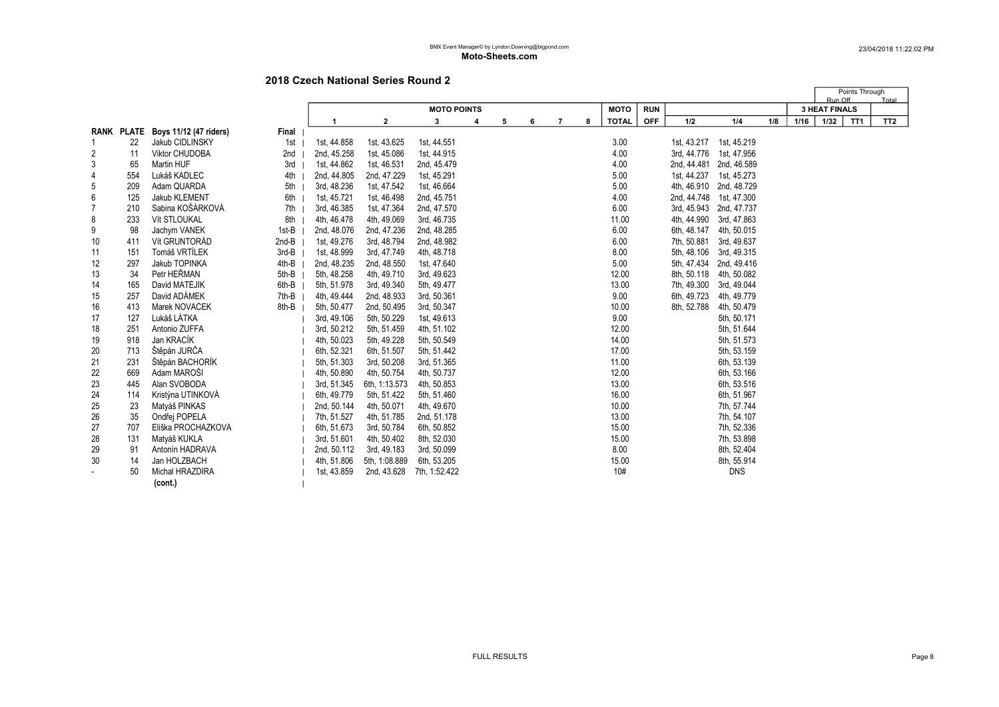|                |     |                                   |         |             |               |                    |   |   |   |                |   |              |            |             |                         |     |      |                                 | Points Through  |                 |
|----------------|-----|-----------------------------------|---------|-------------|---------------|--------------------|---|---|---|----------------|---|--------------|------------|-------------|-------------------------|-----|------|---------------------------------|-----------------|-----------------|
|                |     |                                   |         |             |               | <b>MOTO POINTS</b> |   |   |   |                |   | <b>MOTO</b>  | <b>RUN</b> |             |                         |     |      | Run Off<br><b>3 HEAT FINALS</b> |                 | Total           |
|                |     |                                   |         |             | $\mathbf{2}$  | 3                  | 4 | 5 | 6 | $\overline{7}$ | 8 | <b>TOTAL</b> | <b>OFF</b> | 1/2         | 1/4                     | 1/8 | 1/16 | 1/32                            | TT <sub>1</sub> | TT <sub>2</sub> |
|                |     | RANK PLATE Boys 11/12 (47 riders) | Final   |             |               |                    |   |   |   |                |   |              |            |             |                         |     |      |                                 |                 |                 |
|                | 22  | Jakub CIDLINSKÝ                   | 1st     | 1st, 44.858 | 1st, 43.625   | 1st, 44.551        |   |   |   |                |   | 3.00         |            |             | 1st, 43.217 1st, 45.219 |     |      |                                 |                 |                 |
| 2              | 11  | <b>Viktor CHUDOBA</b>             | 2nd     | 2nd, 45.258 | 1st, 45.086   | 1st, 44.915        |   |   |   |                |   | 4.00         |            | 3rd, 44.776 | 1st, 47.956             |     |      |                                 |                 |                 |
| 3              | 65  | Martin HUF                        | 3rd     | 1st, 44.862 | 1st, 46.531   | 2nd, 45.479        |   |   |   |                |   | 4.00         |            | 2nd, 44.481 | 2nd, 46.589             |     |      |                                 |                 |                 |
| 4              | 554 | Lukáš KADLEC                      | 4th     | 2nd, 44.805 | 2nd, 47.229   | 1st, 45.291        |   |   |   |                |   | 5.00         |            | 1st, 44.237 | 1st, 45.273             |     |      |                                 |                 |                 |
| 5              | 209 | Adam QUARDA                       | 5th     | 3rd, 48.236 | 1st, 47.542   | 1st, 46.664        |   |   |   |                |   | 5.00         |            | 4th, 46.910 | 2nd, 48.729             |     |      |                                 |                 |                 |
| 6              | 125 | Jakub KLEMENT                     | 6th     | 1st, 45.721 | 1st, 46.498   | 2nd, 45.751        |   |   |   |                |   | 4.00         |            |             | 2nd, 44.748 1st, 47.300 |     |      |                                 |                 |                 |
| $\overline{7}$ | 210 | Sabina KOŠÁRKOVÁ                  | 7th     | 3rd, 46.385 | 1st, 47.364   | 2nd, 47.570        |   |   |   |                |   | 6.00         |            |             | 3rd, 45.943 2nd, 47.737 |     |      |                                 |                 |                 |
| 8              | 233 | Vít STLOUKAL                      | 8th     | 4th, 46.478 | 4th, 49.069   | 3rd, 46.735        |   |   |   |                |   | 11.00        |            | 4th, 44.990 | 3rd, 47.863             |     |      |                                 |                 |                 |
| 9              | 98  | Jachym VANEK                      | 1st-B   | 2nd, 48.076 | 2nd, 47.236   | 2nd, 48.285        |   |   |   |                |   | 6.00         |            | 6th, 48.147 | 4th, 50.015             |     |      |                                 |                 |                 |
| 10             | 411 | Vít GRUNTORÁD                     | $2nd-B$ | 1st, 49.276 | 3rd, 48.794   | 2nd, 48.982        |   |   |   |                |   | 6.00         |            | 7th, 50.881 | 3rd, 49.637             |     |      |                                 |                 |                 |
| 11             | 151 | Tomáš VRTÍLEK                     | 3rd-B   | 1st, 48.999 | 3rd, 47.749   | 4th, 48.718        |   |   |   |                |   | 8.00         |            | 5th, 48.106 | 3rd, 49.315             |     |      |                                 |                 |                 |
| 12             | 297 | Jakub TOPINKA                     | 4th-B   | 2nd, 48.235 | 2nd, 48.550   | 1st, 47.640        |   |   |   |                |   | 5.00         |            |             | 5th, 47.434 2nd, 49.416 |     |      |                                 |                 |                 |
| 13             | 34  | Petr HEŘMAN                       | 5th-B   | 5th, 48.258 | 4th, 49.710   | 3rd, 49.623        |   |   |   |                |   | 12.00        |            | 8th, 50.118 | 4th, 50.082             |     |      |                                 |                 |                 |
| 14             | 165 | David MATĚJÍK                     | 6th-B   | 5th, 51.978 | 3rd, 49.340   | 5th, 49.477        |   |   |   |                |   | 13.00        |            | 7th, 49.300 | 3rd, 49.044             |     |      |                                 |                 |                 |
| 15             | 257 | David ADÁMEK                      | 7th-B   | 4th, 49.444 | 2nd, 48.933   | 3rd, 50.361        |   |   |   |                |   | 9.00         |            | 6th, 49.723 | 4th, 49.779             |     |      |                                 |                 |                 |
| 16             | 413 | Marek NOVÁČEK                     | 8th-B   | 5th, 50.477 | 2nd, 50.495   | 3rd, 50.347        |   |   |   |                |   | 10.00        |            | 8th, 52.788 | 4th, 50.479             |     |      |                                 |                 |                 |
| 17             | 127 | Lukáš LÁTKA                       |         | 3rd, 49.106 | 5th, 50.229   | 1st, 49.613        |   |   |   |                |   | 9.00         |            |             | 5th, 50.171             |     |      |                                 |                 |                 |
| 18             | 251 | Antonio ŽUFFA                     |         | 3rd, 50.212 | 5th, 51.459   | 4th, 51.102        |   |   |   |                |   | 12.00        |            |             | 5th, 51.644             |     |      |                                 |                 |                 |
| 19             | 918 | Jan KRACÍK                        |         | 4th, 50.023 | 5th, 49.228   | 5th, 50.549        |   |   |   |                |   | 14.00        |            |             | 5th, 51.573             |     |      |                                 |                 |                 |
| 20             | 713 | Štěpán JURČA                      |         | 6th, 52.321 | 6th, 51.507   | 5th, 51.442        |   |   |   |                |   | 17.00        |            |             | 5th, 53.159             |     |      |                                 |                 |                 |
| 21             | 231 | Štěpán BACHORÍK                   |         | 5th, 51.303 | 3rd, 50.208   | 3rd, 51.365        |   |   |   |                |   | 11.00        |            |             | 6th, 53.139             |     |      |                                 |                 |                 |
| 22             | 669 | Adam MAROŠI                       |         | 4th, 50.890 | 4th, 50.754   | 4th, 50.737        |   |   |   |                |   | 12.00        |            |             | 6th, 53.166             |     |      |                                 |                 |                 |
| 23             | 445 | Alan SVOBODA                      |         | 3rd, 51.345 | 6th, 1:13.573 | 4th, 50.853        |   |   |   |                |   | 13.00        |            |             | 6th, 53.516             |     |      |                                 |                 |                 |
| 24             | 114 | Kristýna UTINKOVÁ                 |         | 6th, 49.779 | 5th, 51.422   | 5th, 51.460        |   |   |   |                |   | 16.00        |            |             | 6th, 51.967             |     |      |                                 |                 |                 |
| 25             | 23  | Matyáš PINKAS                     |         | 2nd, 50.144 | 4th, 50.071   | 4th, 49.670        |   |   |   |                |   | 10.00        |            |             | 7th, 57.744             |     |      |                                 |                 |                 |
| 26             | 35  | Ondřej POPELA                     |         | 7th, 51.527 | 4th, 51.785   | 2nd, 51.178        |   |   |   |                |   | 13.00        |            |             | 7th, 54.107             |     |      |                                 |                 |                 |
| 27             | 707 | Eliška PROCHÁZKOVÁ                |         | 6th, 51.673 | 3rd, 50.784   | 6th, 50.852        |   |   |   |                |   | 15.00        |            |             | 7th, 52.336             |     |      |                                 |                 |                 |
| 28             | 131 | Matyáš KUKLA                      |         | 3rd, 51.601 | 4th, 50.402   | 8th, 52.030        |   |   |   |                |   | 15.00        |            |             | 7th, 53.898             |     |      |                                 |                 |                 |
| 29             | 91  | Antonín HADRAVA                   |         | 2nd, 50.112 | 3rd, 49.183   | 3rd, 50.099        |   |   |   |                |   | 8.00         |            |             | 8th, 52.404             |     |      |                                 |                 |                 |
| 30             | 14  | Jan HOLZBACH                      |         | 4th, 51.806 | 5th, 1:08.889 | 6th, 53.205        |   |   |   |                |   | 15.00        |            |             | 8th, 55.914             |     |      |                                 |                 |                 |
|                | 50  | Michal HRAZDÍRA                   |         | 1st, 43.859 | 2nd, 43.628   | 7th, 1:52.422      |   |   |   |                |   | 10#          |            |             | <b>DNS</b>              |     |      |                                 |                 |                 |
|                |     | (cont.)                           |         |             |               |                    |   |   |   |                |   |              |            |             |                         |     |      |                                 |                 |                 |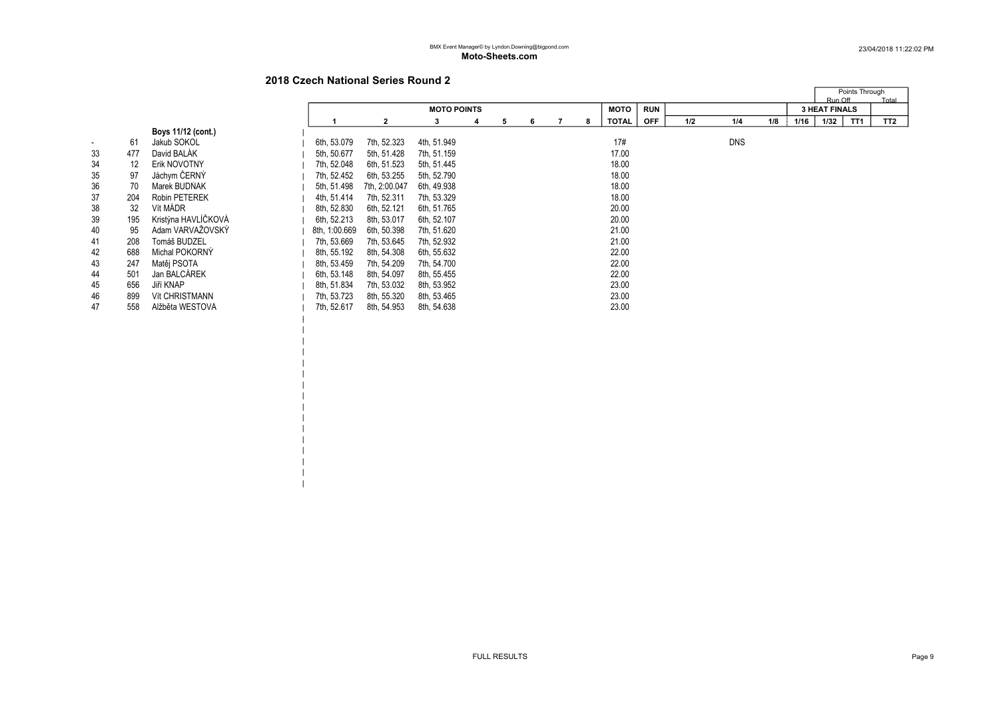# 2018 Czech National Series Round 2

|  $\blacksquare$ | | | | | | | | | | | | |

|    |                   |                       |               |               |                    |    |   |   |             |            |     |            |     |      | Run Off              | Points Through  | Total           |
|----|-------------------|-----------------------|---------------|---------------|--------------------|----|---|---|-------------|------------|-----|------------|-----|------|----------------------|-----------------|-----------------|
|    |                   |                       |               |               | <b>MOTO POINTS</b> |    |   |   | <b>MOTO</b> | <b>RUN</b> |     |            |     |      | <b>3 HEAT FINALS</b> |                 |                 |
|    |                   |                       |               | $\mathbf{2}$  | 3                  | 5. | 6 | 8 | TOTAL       | <b>OFF</b> | 1/2 | 1/4        | 1/8 | 1/16 | 1/32                 | TT <sub>1</sub> | TT <sub>2</sub> |
|    |                   | Boys 11/12 (cont.)    |               |               |                    |    |   |   |             |            |     |            |     |      |                      |                 |                 |
|    | 61                | Jakub SOKOL           | 6th, 53.079   | 7th, 52.323   | 4th, 51.949        |    |   |   | 17#         |            |     | <b>DNS</b> |     |      |                      |                 |                 |
| 33 | 477               | David BALAK           | 5th, 50.677   | 5th, 51.428   | 7th, 51.159        |    |   |   | 17.00       |            |     |            |     |      |                      |                 |                 |
| 34 | $12 \overline{ }$ | Erik NOVOTNÝ          | 7th, 52.048   | 6th, 51.523   | 5th, 51.445        |    |   |   | 18.00       |            |     |            |     |      |                      |                 |                 |
| 35 | 97                | Jáchym ČERNÝ          | 7th, 52.452   | 6th, 53.255   | 5th, 52.790        |    |   |   | 18.00       |            |     |            |     |      |                      |                 |                 |
| 36 | 70                | Marek BUDNAK          | 5th, 51.498   | 7th, 2:00.047 | 6th, 49.938        |    |   |   | 18.00       |            |     |            |     |      |                      |                 |                 |
| 37 | 204               | <b>Robin PETEREK</b>  | 4th, 51.414   | 7th, 52.311   | 7th, 53.329        |    |   |   | 18.00       |            |     |            |     |      |                      |                 |                 |
| 38 | 32                | Vít MÁDR              | 8th, 52.830   | 6th, 52.121   | 6th, 51.765        |    |   |   | 20.00       |            |     |            |     |      |                      |                 |                 |
| 39 | 195               | Kristýna HAVLÍČKOVÁ   | 6th, 52.213   | 8th, 53.017   | 6th, 52.107        |    |   |   | 20.00       |            |     |            |     |      |                      |                 |                 |
| 40 | 95                | Adam VARVAŽOVSKÝ      | 8th, 1:00.669 | 6th, 50.398   | 7th, 51.620        |    |   |   | 21.00       |            |     |            |     |      |                      |                 |                 |
| 41 | 208               | Tomáš BUDZEL          | 7th, 53.669   | 7th, 53.645   | 7th, 52.932        |    |   |   | 21.00       |            |     |            |     |      |                      |                 |                 |
| 42 | 688               | Michal POKORNÝ        | 8th, 55.192   | 8th, 54.308   | 6th, 55.632        |    |   |   | 22.00       |            |     |            |     |      |                      |                 |                 |
| 43 | 247               | Matěj PSOTA           | 8th, 53.459   | 7th, 54.209   | 7th, 54.700        |    |   |   | 22.00       |            |     |            |     |      |                      |                 |                 |
| 44 | 501               | Jan BALCÁREK          | 6th, 53.148   | 8th, 54.097   | 8th, 55.455        |    |   |   | 22.00       |            |     |            |     |      |                      |                 |                 |
| 45 | 656               | Jiří KNAP             | 8th, 51.834   | 7th, 53.032   | 8th, 53.952        |    |   |   | 23.00       |            |     |            |     |      |                      |                 |                 |
| 46 | 899               | <b>Vít CHRISTMANN</b> | 7th, 53.723   | 8th, 55.320   | 8th, 53.465        |    |   |   | 23.00       |            |     |            |     |      |                      |                 |                 |
| 47 | 558               | Alžběta WESTOVÁ       | 7th, 52.617   | 8th, 54.953   | 8th, 54.638        |    |   |   | 23.00       |            |     |            |     |      |                      |                 |                 |
|    |                   |                       |               |               |                    |    |   |   |             |            |     |            |     |      |                      |                 |                 |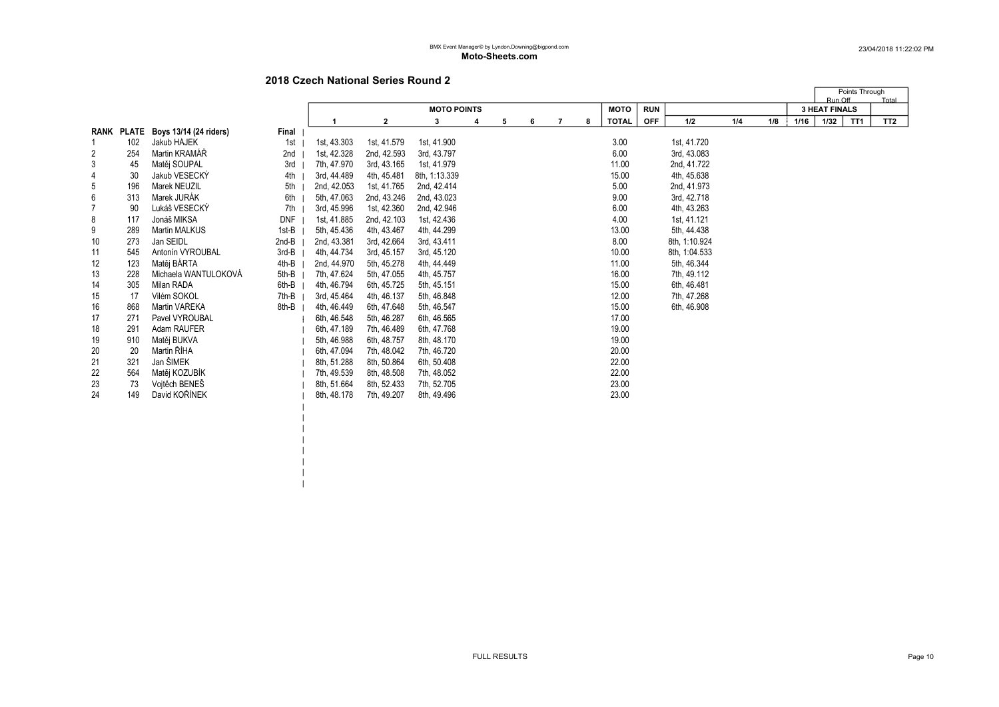$\blacksquare$  $\blacksquare$  $\|$  $\|$  $\frac{1}{2}$  $\|$  $\|$ 

|                |     |                                   |       |             |                |                    |   |   |   |   |   |              |            |               |     |     |      | Run Off              | Points Through | Total           |
|----------------|-----|-----------------------------------|-------|-------------|----------------|--------------------|---|---|---|---|---|--------------|------------|---------------|-----|-----|------|----------------------|----------------|-----------------|
|                |     |                                   |       |             |                | <b>MOTO POINTS</b> |   |   |   |   |   | <b>MOTO</b>  | <b>RUN</b> |               |     |     |      | <b>3 HEAT FINALS</b> |                |                 |
|                |     |                                   |       |             | $\overline{2}$ | 3                  | 4 | 5 | 6 | 7 | 8 | <b>TOTAL</b> | <b>OFF</b> | 1/2           | 1/4 | 1/8 | 1/16 | 1/32                 | TT1            | TT <sub>2</sub> |
|                |     | RANK PLATE Boys 13/14 (24 riders) | Final |             |                |                    |   |   |   |   |   |              |            |               |     |     |      |                      |                |                 |
|                | 102 | Jakub HAJEK                       | 1st   | 1st, 43.303 | 1st, 41.579    | 1st, 41.900        |   |   |   |   |   | 3.00         |            | 1st, 41.720   |     |     |      |                      |                |                 |
| 2              | 254 | Martin KRAMÁŘ                     | 2nd   | 1st, 42.328 | 2nd, 42.593    | 3rd, 43.797        |   |   |   |   |   | 6.00         |            | 3rd, 43.083   |     |     |      |                      |                |                 |
| 3              | 45  | Matěj ŠOUPAL                      | 3rd   | 7th, 47.970 | 3rd, 43.165    | 1st, 41.979        |   |   |   |   |   | 11.00        |            | 2nd, 41.722   |     |     |      |                      |                |                 |
| 4              | 30  | Jakub VESECKY                     | 4th   | 3rd, 44.489 | 4th, 45.481    | 8th, 1:13.339      |   |   |   |   |   | 15.00        |            | 4th, 45.638   |     |     |      |                      |                |                 |
| 5              | 196 | Marek NEUŽIL                      | 5th   | 2nd, 42.053 | 1st, 41.765    | 2nd, 42.414        |   |   |   |   |   | 5.00         |            | 2nd, 41.973   |     |     |      |                      |                |                 |
| 6              | 313 | Marek JURAK                       | 6th   | 5th, 47.063 | 2nd, 43.246    | 2nd, 43.023        |   |   |   |   |   | 9.00         |            | 3rd, 42.718   |     |     |      |                      |                |                 |
| $\overline{7}$ | 90  | Lukáš VESECKÝ                     | 7th   | 3rd, 45.996 | 1st, 42.360    | 2nd, 42.946        |   |   |   |   |   | 6.00         |            | 4th, 43.263   |     |     |      |                      |                |                 |
| 8              | 117 | Jonáš MIKSA                       | DNF   | 1st, 41.885 | 2nd, 42.103    | 1st, 42.436        |   |   |   |   |   | 4.00         |            | 1st, 41.121   |     |     |      |                      |                |                 |
| 9              | 289 | <b>Martin MALKUS</b>              | 1st-B | 5th, 45.436 | 4th, 43.467    | 4th, 44.299        |   |   |   |   |   | 13.00        |            | 5th, 44.438   |     |     |      |                      |                |                 |
| 10             | 273 | Jan SEIDL                         | 2nd-B | 2nd, 43.381 | 3rd, 42.664    | 3rd, 43.411        |   |   |   |   |   | 8.00         |            | 8th, 1:10.924 |     |     |      |                      |                |                 |
| 11             | 545 | Antonín VYROUBAL                  | 3rd-B | 4th, 44.734 | 3rd, 45.157    | 3rd, 45.120        |   |   |   |   |   | 10.00        |            | 8th, 1:04.533 |     |     |      |                      |                |                 |
| 12             | 123 | Matěj BÁRTA                       | 4th-B | 2nd, 44.970 | 5th, 45.278    | 4th, 44.449        |   |   |   |   |   | 11.00        |            | 5th, 46.344   |     |     |      |                      |                |                 |
| 13             | 228 | Michaela WANTULOKOVÁ              | 5th-B | 7th, 47.624 | 5th, 47.055    | 4th, 45.757        |   |   |   |   |   | 16.00        |            | 7th, 49.112   |     |     |      |                      |                |                 |
| 14             | 305 | Milan RADA                        | 6th-B | 4th, 46.794 | 6th, 45.725    | 5th, 45.151        |   |   |   |   |   | 15.00        |            | 6th, 46.481   |     |     |      |                      |                |                 |
| 15             | 17  | Vilém SOKOL                       | 7th-B | 3rd. 45.464 | 4th, 46.137    | 5th, 46.848        |   |   |   |   |   | 12.00        |            | 7th, 47.268   |     |     |      |                      |                |                 |
| 16             | 868 | Martin VAŘEKA                     | 8th-B | 4th, 46.449 | 6th, 47.648    | 5th, 46.547        |   |   |   |   |   | 15.00        |            | 6th, 46.908   |     |     |      |                      |                |                 |
| 17             | 271 | Pavel VYROUBAL                    |       | 6th, 46.548 | 5th, 46.287    | 6th, 46.565        |   |   |   |   |   | 17.00        |            |               |     |     |      |                      |                |                 |
| 18             | 291 | Adam RAUFER                       |       | 6th, 47.189 | 7th, 46.489    | 6th, 47.768        |   |   |   |   |   | 19.00        |            |               |     |     |      |                      |                |                 |
| 19             | 910 | Matěj BUKVA                       |       | 5th, 46.988 | 6th, 48.757    | 8th, 48.170        |   |   |   |   |   | 19.00        |            |               |     |     |      |                      |                |                 |
| 20             | 20  | Martin ŘÍHA                       |       | 6th, 47.094 | 7th, 48.042    | 7th, 46.720        |   |   |   |   |   | 20.00        |            |               |     |     |      |                      |                |                 |
| 21             | 321 | Jan ŠIMEK                         |       | 8th, 51.288 | 8th, 50.864    | 6th, 50.408        |   |   |   |   |   | 22.00        |            |               |     |     |      |                      |                |                 |
| 22             | 564 | Matěj KOZUBÍK                     |       | 7th, 49.539 | 8th, 48.508    | 7th, 48.052        |   |   |   |   |   | 22.00        |            |               |     |     |      |                      |                |                 |
| 23             | 73  | Vojtěch BENES                     |       | 8th, 51.664 | 8th, 52.433    | 7th, 52.705        |   |   |   |   |   | 23.00        |            |               |     |     |      |                      |                |                 |
| 24             | 149 | David KOŘÍNEK                     |       | 8th, 48.178 | 7th, 49.207    | 8th, 49.496        |   |   |   |   |   | 23.00        |            |               |     |     |      |                      |                |                 |
|                |     |                                   |       |             |                |                    |   |   |   |   |   |              |            |               |     |     |      |                      |                |                 |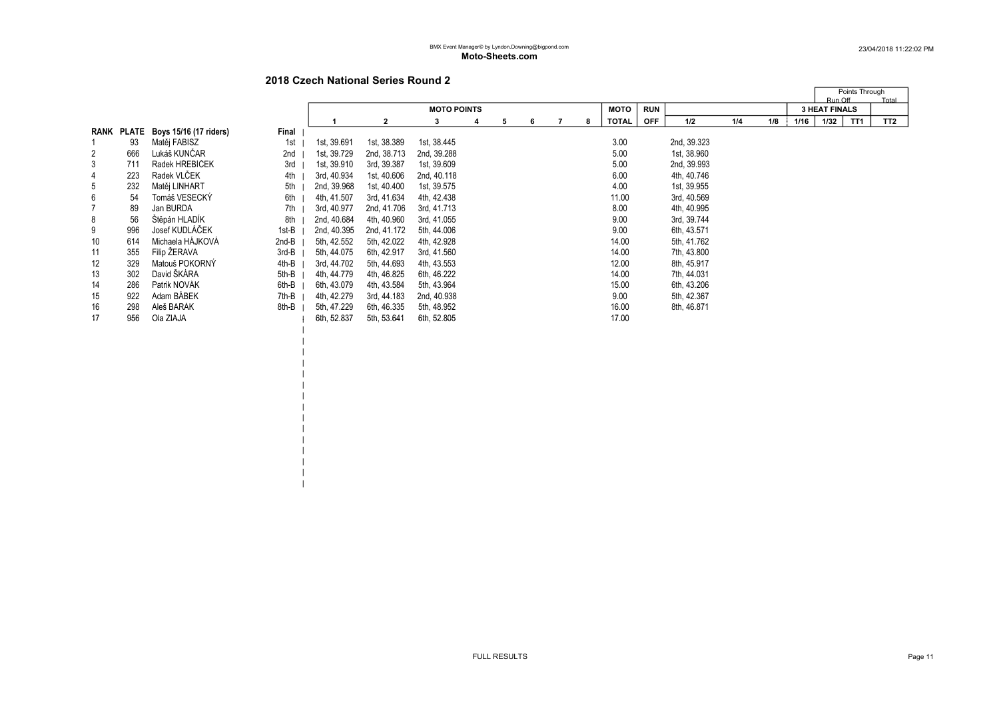$\blacksquare$ | | | | | | | | | | | | |

|    |            |                        |       |             |             |                    |   |   |   |   |              |            |             |     |     |      | Points Through<br>Run Off | Total           |
|----|------------|------------------------|-------|-------------|-------------|--------------------|---|---|---|---|--------------|------------|-------------|-----|-----|------|---------------------------|-----------------|
|    |            |                        |       |             |             | <b>MOTO POINTS</b> |   |   |   |   | <b>MOTO</b>  | <b>RUN</b> |             |     |     |      | <b>3 HEAT FINALS</b>      |                 |
|    |            |                        |       |             |             | 3                  | 4 | 5 | 6 | 8 | <b>TOTAL</b> | <b>OFF</b> | 1/2         | 1/4 | 1/8 | 1/16 | 1/32<br>TT1               | TT <sub>2</sub> |
|    | RANK PLATE | Boys 15/16 (17 riders) | Final |             |             |                    |   |   |   |   |              |            |             |     |     |      |                           |                 |
|    | 93         | Matěj FABISZ           | 1st   | 1st, 39.691 | 1st, 38.389 | 1st, 38.445        |   |   |   |   | 3.00         |            | 2nd, 39.323 |     |     |      |                           |                 |
| 2  | 666        | Lukáš KUNČAR           | 2nd   | 1st, 39.729 | 2nd, 38.713 | 2nd, 39.288        |   |   |   |   | 5.00         |            | 1st, 38.960 |     |     |      |                           |                 |
| 3  | 711        | Radek HŘEBÍČEK         | 3rd   | 1st, 39.910 | 3rd, 39.387 | 1st, 39.609        |   |   |   |   | 5.00         |            | 2nd, 39.993 |     |     |      |                           |                 |
| 4  | 223        | Radek VLČEK            | 4th   | 3rd, 40.934 | 1st, 40.606 | 2nd, 40.118        |   |   |   |   | 6.00         |            | 4th, 40.746 |     |     |      |                           |                 |
| 5  | 232        | Matěj LINHART          | 5th   | 2nd, 39.968 | 1st, 40.400 | 1st, 39.575        |   |   |   |   | 4.00         |            | 1st, 39.955 |     |     |      |                           |                 |
| 6  | 54         | Tomáš VESECKÝ          | 6th   | 4th, 41.507 | 3rd, 41.634 | 4th, 42.438        |   |   |   |   | 11.00        |            | 3rd, 40.569 |     |     |      |                           |                 |
|    | 89         | Jan BURDA              | 7th   | 3rd, 40.977 | 2nd, 41.706 | 3rd, 41.713        |   |   |   |   | 8.00         |            | 4th, 40.995 |     |     |      |                           |                 |
| 8  | 56         | Štěpán HLADÍK          | 8th   | 2nd, 40.684 | 4th, 40.960 | 3rd, 41.055        |   |   |   |   | 9.00         |            | 3rd, 39.744 |     |     |      |                           |                 |
| 9  | 996        | Josef KUDLÁČEK         | 1st-B | 2nd, 40.395 | 2nd, 41.172 | 5th, 44.006        |   |   |   |   | 9.00         |            | 6th, 43.571 |     |     |      |                           |                 |
| 10 | 614        | Michaela HÁJKOVÁ       | 2nd-B | 5th, 42.552 | 5th, 42.022 | 4th, 42.928        |   |   |   |   | 14.00        |            | 5th, 41.762 |     |     |      |                           |                 |
| 11 | 355        | Filip ŽERAVA           | 3rd-B | 5th, 44.075 | 6th, 42.917 | 3rd, 41.560        |   |   |   |   | 14.00        |            | 7th, 43.800 |     |     |      |                           |                 |
| 12 | 329        | Matouš POKORNÝ         | 4th-B | 3rd, 44.702 | 5th, 44.693 | 4th, 43.553        |   |   |   |   | 12.00        |            | 8th, 45.917 |     |     |      |                           |                 |
| 13 | 302        | David ŠKÁRA            | 5th-B | 4th, 44.779 | 4th, 46.825 | 6th, 46.222        |   |   |   |   | 14.00        |            | 7th, 44.031 |     |     |      |                           |                 |
| 14 | 286        | Patrik NOVÁK           | 6th-B | 6th, 43.079 | 4th, 43.584 | 5th, 43.964        |   |   |   |   | 15.00        |            | 6th, 43.206 |     |     |      |                           |                 |
| 15 | 922        | Adam BABEK             | 7th-B | 4th, 42.279 | 3rd, 44.183 | 2nd, 40.938        |   |   |   |   | 9.00         |            | 5th, 42.367 |     |     |      |                           |                 |
| 16 | 298        | Aleš BARÁK             | 8th-B | 5th, 47.229 | 6th, 46.335 | 5th, 48.952        |   |   |   |   | 16.00        |            | 8th, 46.871 |     |     |      |                           |                 |
| 17 | 956        | Ola ZIAJA              |       | 6th, 52.837 | 5th, 53.641 | 6th, 52.805        |   |   |   |   | 17.00        |            |             |     |     |      |                           |                 |
|    |            |                        |       |             |             |                    |   |   |   |   |              |            |             |     |     |      |                           |                 |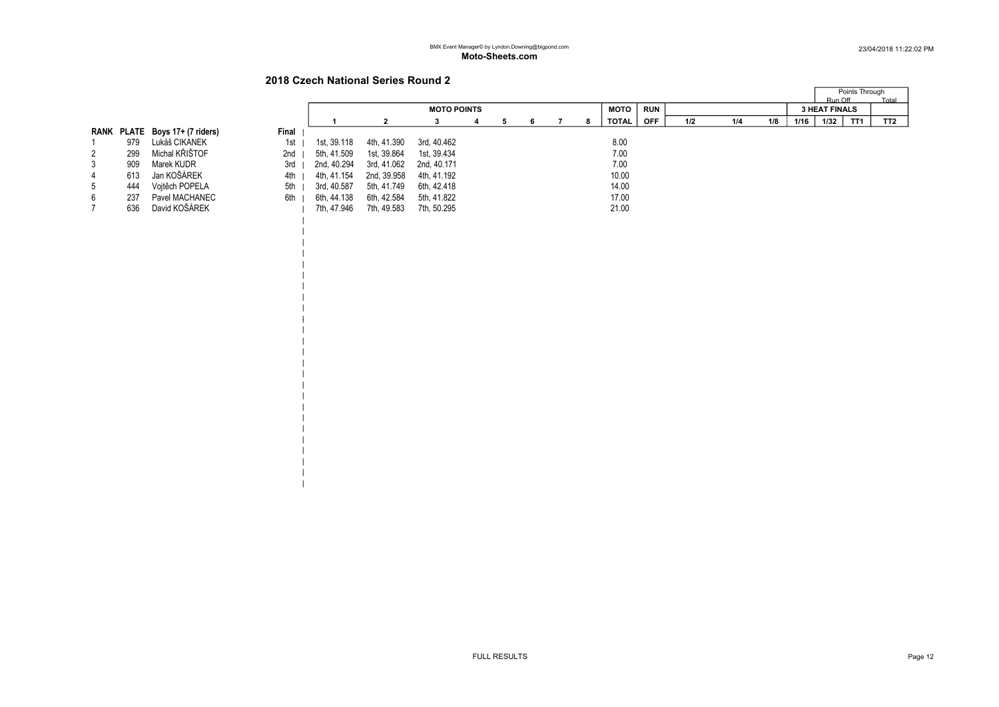| | | | | | | | |

| | | | | | | | | | | | | | |

|                 |     |                                |       |             |             |                    |  |   |   |  |   |       |            |     |     |     |      | Run Off              | Points Through | Total           |
|-----------------|-----|--------------------------------|-------|-------------|-------------|--------------------|--|---|---|--|---|-------|------------|-----|-----|-----|------|----------------------|----------------|-----------------|
|                 |     |                                |       |             |             | <b>MOTO POINTS</b> |  |   |   |  |   | мото  | <b>RUN</b> |     |     |     |      | <b>3 HEAT FINALS</b> |                |                 |
|                 |     |                                |       |             |             |                    |  | 5 | 6 |  | 8 | TOTAL | <b>OFF</b> | 1/2 | 1/4 | 1/8 | 1/16 | 1/32                 | TT1            | TT <sub>2</sub> |
|                 |     | RANK PLATE Boys 17+ (7 riders) | Final |             |             |                    |  |   |   |  |   |       |            |     |     |     |      |                      |                |                 |
|                 | 979 | Lukáš CIKÁNEK                  | 1st   | 1st, 39.118 | 4th, 41.390 | 3rd. 40.462        |  |   |   |  |   | 8.00  |            |     |     |     |      |                      |                |                 |
| 2               | 299 | Michal KŘIŠTOF                 | 2nd   | 5th, 41.509 | 1st, 39.864 | 1st, 39.434        |  |   |   |  |   | 7.00  |            |     |     |     |      |                      |                |                 |
| 3               | 909 | Marek KUDR                     | 3rd   | 2nd, 40.294 | 3rd, 41.062 | 2nd, 40.171        |  |   |   |  |   | 7.00  |            |     |     |     |      |                      |                |                 |
| 4               | 613 | Jan KOŠÁREK                    | 4th   | 4th, 41.154 | 2nd, 39.958 | 4th, 41.192        |  |   |   |  |   | 10.00 |            |     |     |     |      |                      |                |                 |
| $5\overline{)}$ | 444 | Vojtěch POPELA                 | 5th   | 3rd, 40.587 | 5th, 41.749 | 6th, 42.418        |  |   |   |  |   | 14.00 |            |     |     |     |      |                      |                |                 |
| 6               | 237 | Pavel MACHANEC                 | 6th   | 6th, 44.138 | 6th, 42.584 | 5th, 41.822        |  |   |   |  |   | 17.00 |            |     |     |     |      |                      |                |                 |
|                 | 636 | David KOŠÁREK                  |       | 7th, 47.946 | 7th, 49.583 | 7th, 50.295        |  |   |   |  |   | 21.00 |            |     |     |     |      |                      |                |                 |
|                 |     |                                |       |             |             |                    |  |   |   |  |   |       |            |     |     |     |      |                      |                |                 |